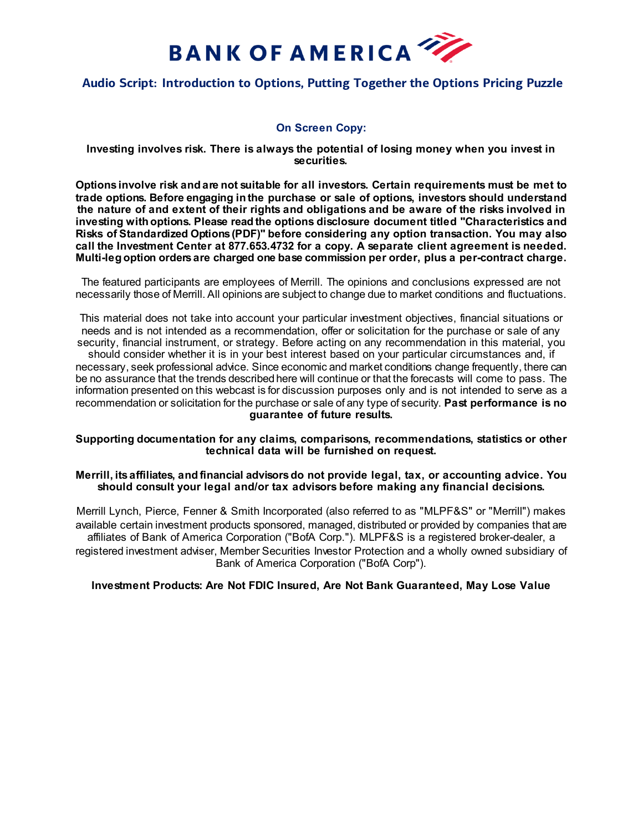

# **Audio Script: Introduction to Options, Putting Together the Options Pricing Puzzle**

## **On Screen Copy:**

#### **Investing involves risk. There is always the potential of losing money when you invest in securities.**

**Options involve risk and are not suitable for all investors. Certain requirements must be met to trade options. Before engaging in the purchase or sale of options, investors should understand the nature of and extent of their rights and obligations and be aware of the risks involved in investing with options. Please read the options disclosure document titled "Characteristics and Risks of Standardized Options (PDF)" before considering any option transaction. You may also call the Investment Center at 877.653.4732 for a copy. A separate client agreement is needed. Multi-leg option orders are charged one base commission per order, plus a per-contract charge.**

The featured participants are employees of Merrill. The opinions and conclusions expressed are not necessarily those of Merrill. All opinions are subject to change due to market conditions and fluctuations.

This material does not take into account your particular investment objectives, financial situations or needs and is not intended as a recommendation, offer or solicitation for the purchase or sale of any security, financial instrument, or strategy. Before acting on any recommendation in this material, you should consider whether it is in your best interest based on your particular circumstances and, if necessary, seek professional advice. Since economic and market conditions change frequently, there can be no assurance that the trends described here will continue or that the forecasts will come to pass. The information presented on this webcast is for discussion purposes only and is not intended to serve as a recommendation or solicitation for the purchase or sale of any type of security. **Past performance is no guarantee of future results.**

### **Supporting documentation for any claims, comparisons, recommendations, statistics or other technical data will be furnished on request.**

### **Merrill, its affiliates, and financial advisors do not provide legal, tax, or accounting advice. You should consult your legal and/or tax advisors before making any financial decisions.**

Merrill Lynch, Pierce, Fenner & Smith Incorporated (also referred to as "MLPF&S" or "Merrill") makes available certain investment products sponsored, managed, distributed or provided by companies that are affiliates of Bank of America Corporation ("BofA Corp."). MLPF&S is a registered broker-dealer, a registered investment adviser, Member Securities Investor Protection and a wholly owned subsidiary of Bank of America Corporation ("BofA Corp").

### **Investment Products: Are Not FDIC Insured, Are Not Bank Guaranteed, May Lose Value**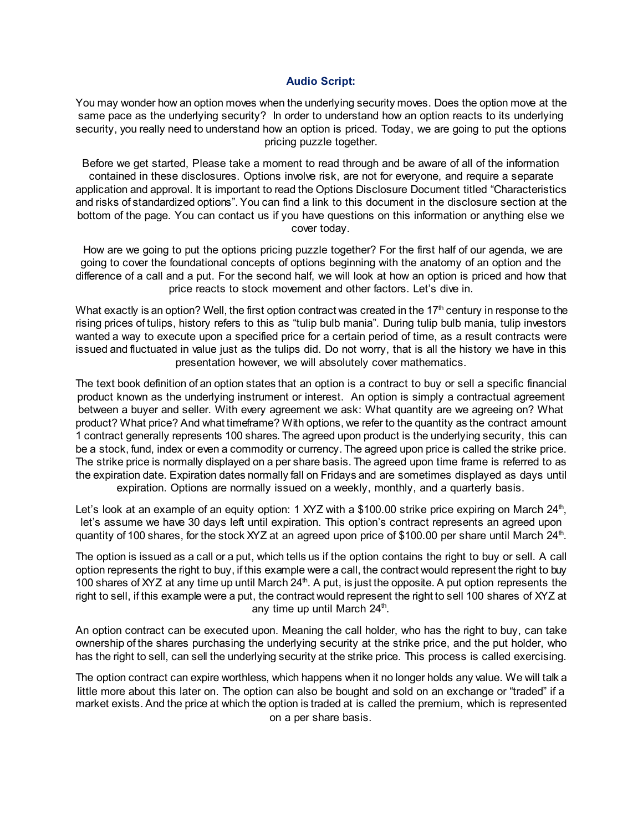### **Audio Script:**

You may wonder how an option moves when the underlying security moves. Does the option move at the same pace as the underlying security? In order to understand how an option reacts to its underlying security, you really need to understand how an option is priced. Today, we are going to put the options pricing puzzle together.

Before we get started, Please take a moment to read through and be aware of all of the information contained in these disclosures. Options involve risk, are not for everyone, and require a separate application and approval. It is important to read the Options Disclosure Document titled "Characteristics and risks of standardized options". You can find a link to this document in the disclosure section at the bottom of the page. You can contact us if you have questions on this information or anything else we cover today.

How are we going to put the options pricing puzzle together? For the first half of our agenda, we are going to cover the foundational concepts of options beginning with the anatomy of an option and the difference of a call and a put. For the second half, we will look at how an option is priced and how that price reacts to stock movement and other factors. Let's dive in.

What exactly is an option? Well, the first option contract was created in the  $17<sup>th</sup>$  century in response to the rising prices of tulips, history refers to this as "tulip bulb mania". During tulip bulb mania, tulip investors wanted a way to execute upon a specified price for a certain period of time, as a result contracts were issued and fluctuated in value just as the tulips did. Do not worry, that is all the history we have in this presentation however, we will absolutely cover mathematics.

The text book definition of an option states that an option is a contract to buy or sell a specific financial product known as the underlying instrument or interest. An option is simply a contractual agreement between a buyer and seller. With every agreement we ask: What quantity are we agreeing on? What product? What price? And what timeframe? With options, we refer to the quantity as the contract amount 1 contract generally represents 100 shares. The agreed upon product is the underlying security, this can be a stock, fund, index or even a commodity or currency. The agreed upon price is called the strike price. The strike price is normally displayed on a per share basis. The agreed upon time frame is referred to as the expiration date. Expiration dates normally fall on Fridays and are sometimes displayed as days until expiration. Options are normally issued on a weekly, monthly, and a quarterly basis.

Let's look at an example of an equity option: 1 XYZ with a \$100.00 strike price expiring on March  $24<sup>th</sup>$ . let's assume we have 30 days left until expiration. This option's contract represents an agreed upon quantity of 100 shares, for the stock XYZ at an agreed upon price of \$100.00 per share until March 24<sup>th</sup>.

The option is issued as a call or a put, which tells us if the option contains the right to buy or sell. A call option represents the right to buy, if this example were a call, the contract would represent the right to buy 100 shares of XYZ at any time up until March 24<sup>th</sup>. A put, is just the opposite. A put option represents the right to sell, if this example were a put, the contract would represent the right to sell 100 shares of XYZ at any time up until March 24<sup>th</sup>.

An option contract can be executed upon. Meaning the call holder, who has the right to buy, can take ownership of the shares purchasing the underlying security at the strike price, and the put holder, who has the right to sell, can sell the underlying security at the strike price. This process is called exercising.

The option contract can expire worthless, which happens when it no longer holds any value. We will talk a little more about this later on. The option can also be bought and sold on an exchange or "traded" if a market exists. And the price at which the option is traded at is called the premium, which is represented on a per share basis.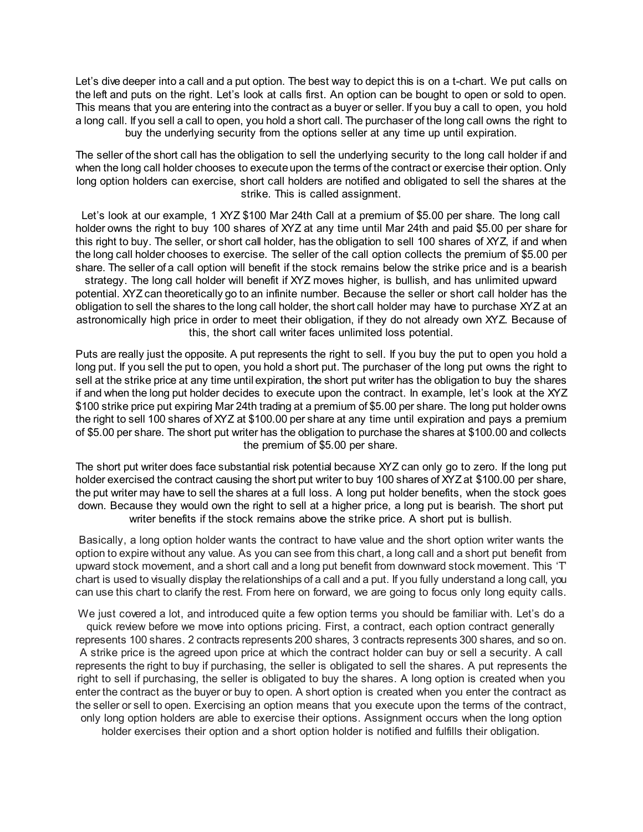Let's dive deeper into a call and a put option. The best way to depict this is on a t-chart. We put calls on the left and puts on the right. Let's look at calls first. An option can be bought to open or sold to open. This means that you are entering into the contract as a buyer or seller. If you buy a call to open, you hold a long call. If you sell a call to open, you hold a short call. The purchaser of the long call owns the right to buy the underlying security from the options seller at any time up until expiration.

The seller of the short call has the obligation to sell the underlying security to the long call holder if and when the long call holder chooses to execute upon the terms of the contract or exercise their option. Only long option holders can exercise, short call holders are notified and obligated to sell the shares at the strike. This is called assignment.

Let's look at our example, 1 XYZ \$100 Mar 24th Call at a premium of \$5.00 per share. The long call holder owns the right to buy 100 shares of XYZ at any time until Mar 24th and paid \$5.00 per share for this right to buy. The seller, or short call holder, has the obligation to sell 100 shares of XYZ, if and when the long call holder chooses to exercise. The seller of the call option collects the premium of \$5.00 per share. The seller of a call option will benefit if the stock remains below the strike price and is a bearish strategy. The long call holder will benefit if XYZ moves higher, is bullish, and has unlimited upward potential. XYZ can theoretically go to an infinite number. Because the seller or short call holder has the obligation to sell the shares to the long call holder, the short call holder may have to purchase XYZ at an astronomically high price in order to meet their obligation, if they do not already own XYZ. Because of this, the short call writer faces unlimited loss potential.

Puts are really just the opposite. A put represents the right to sell. If you buy the put to open you hold a long put. If you sell the put to open, you hold a short put. The purchaser of the long put owns the right to sell at the strike price at any time until expiration, the short put writer has the obligation to buy the shares if and when the long put holder decides to execute upon the contract. In example, let's look at the XYZ \$100 strike price put expiring Mar 24th trading at a premium of \$5.00 per share. The long put holder owns the right to sell 100 shares of XYZ at \$100.00 per share at any time until expiration and pays a premium of \$5.00 per share. The short put writer has the obligation to purchase the shares at \$100.00 and collects the premium of \$5.00 per share.

The short put writer does face substantial risk potential because XYZ can only go to zero. If the long put holder exercised the contract causing the short put writer to buy 100 shares of XYZ at \$100.00 per share, the put writer may have to sell the shares at a full loss. A long put holder benefits, when the stock goes down. Because they would own the right to sell at a higher price, a long put is bearish. The short put writer benefits if the stock remains above the strike price. A short put is bullish.

Basically, a long option holder wants the contract to have value and the short option writer wants the option to expire without any value. As you can see from this chart, a long call and a short put benefit from upward stock movement, and a short call and a long put benefit from downward stock movement. This 'T' chart is used to visually display the relationships of a call and a put. If you fully understand a long call, you can use this chart to clarify the rest. From here on forward, we are going to focus only long equity calls.

We just covered a lot, and introduced quite a few option terms you should be familiar with. Let's do a quick review before we move into options pricing. First, a contract, each option contract generally represents 100 shares. 2 contracts represents 200 shares, 3 contracts represents 300 shares, and so on. A strike price is the agreed upon price at which the contract holder can buy or sell a security. A call represents the right to buy if purchasing, the seller is obligated to sell the shares. A put represents the right to sell if purchasing, the seller is obligated to buy the shares. A long option is created when you enter the contract as the buyer or buy to open. A short option is created when you enter the contract as the seller or sell to open. Exercising an option means that you execute upon the terms of the contract, only long option holders are able to exercise their options. Assignment occurs when the long option holder exercises their option and a short option holder is notified and fulfills their obligation.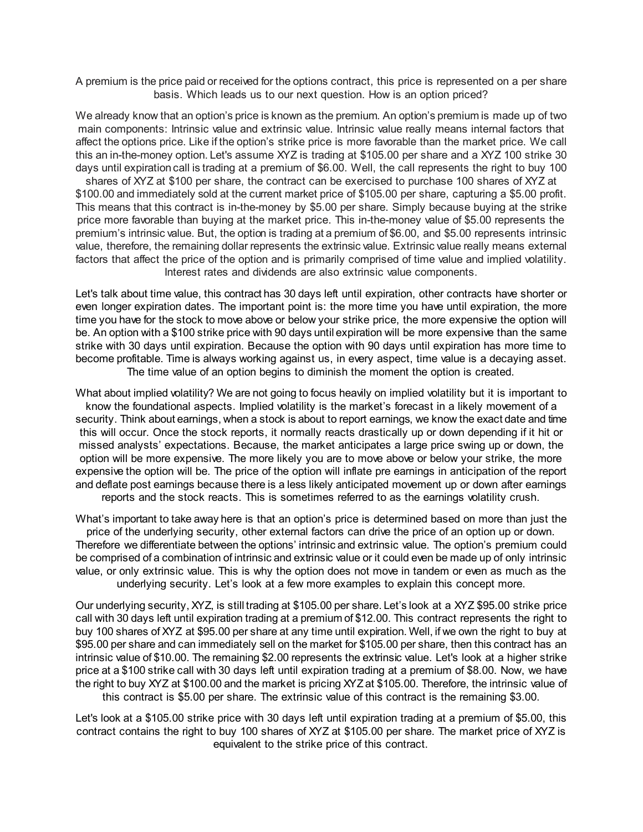A premium is the price paid or received for the options contract, this price is represented on a per share basis. Which leads us to our next question. How is an option priced?

We already know that an option's price is known as the premium. An option's premium is made up of two main components: Intrinsic value and extrinsic value. Intrinsic value really means internal factors that affect the options price. Like if the option's strike price is more favorable than the market price. We call this an in-the-money option. Let's assume XYZ is trading at \$105.00 per share and a XYZ 100 strike 30 days until expiration call is trading at a premium of \$6.00. Well, the call represents the right to buy 100

shares of XYZ at \$100 per share, the contract can be exercised to purchase 100 shares of XYZ at \$100.00 and immediately sold at the current market price of \$105.00 per share, capturing a \$5.00 profit. This means that this contract is in-the-money by \$5.00 per share. Simply because buying at the strike price more favorable than buying at the market price. This in-the-money value of \$5.00 represents the premium's intrinsic value. But, the option is trading at a premium of \$6.00, and \$5.00 represents intrinsic value, therefore, the remaining dollar represents the extrinsic value. Extrinsic value really means external factors that affect the price of the option and is primarily comprised of time value and implied volatility. Interest rates and dividends are also extrinsic value components.

Let's talk about time value, this contract has 30 days left until expiration, other contracts have shorter or even longer expiration dates. The important point is: the more time you have until expiration, the more time you have for the stock to move above or below your strike price, the more expensive the option will be. An option with a \$100 strike price with 90 days until expiration will be more expensive than the same strike with 30 days until expiration. Because the option with 90 days until expiration has more time to become profitable. Time is always working against us, in every aspect, time value is a decaying asset. The time value of an option begins to diminish the moment the option is created.

What about implied volatility? We are not going to focus heavily on implied volatility but it is important to know the foundational aspects. Implied volatility is the market's forecast in a likely movement of a security. Think about earnings, when a stock is about to report earnings, we know the exact date and time this will occur. Once the stock reports, it normally reacts drastically up or down depending if it hit or missed analysts' expectations. Because, the market anticipates a large price swing up or down, the option will be more expensive. The more likely you are to move above or below your strike, the more expensive the option will be. The price of the option will inflate pre earnings in anticipation of the report and deflate post earnings because there is a less likely anticipated movement up or down after earnings reports and the stock reacts. This is sometimes referred to as the earnings volatility crush.

What's important to take away here is that an option's price is determined based on more than just the price of the underlying security, other external factors can drive the price of an option up or down.

Therefore we differentiate between the options' intrinsic and extrinsic value. The option's premium could be comprised of a combination of intrinsic and extrinsic value or it could even be made up of only intrinsic value, or only extrinsic value. This is why the option does not move in tandem or even as much as the underlying security. Let's look at a few more examples to explain this concept more.

Our underlying security, XYZ, is still trading at \$105.00 per share. Let's look at a XYZ \$95.00 strike price call with 30 days left until expiration trading at a premium of \$12.00. This contract represents the right to buy 100 shares of XYZ at \$95.00 per share at any time until expiration. Well, if we own the right to buy at \$95.00 per share and can immediately sell on the market for \$105.00 per share, then this contract has an intrinsic value of \$10.00. The remaining \$2.00 represents the extrinsic value. Let's look at a higher strike price at a \$100 strike call with 30 days left until expiration trading at a premium of \$8.00. Now, we have the right to buy XYZ at \$100.00 and the market is pricing XYZ at \$105.00. Therefore, the intrinsic value of this contract is \$5.00 per share. The extrinsic value of this contract is the remaining \$3.00.

Let's look at a \$105.00 strike price with 30 days left until expiration trading at a premium of \$5.00, this contract contains the right to buy 100 shares of XYZ at \$105.00 per share. The market price of XYZ is equivalent to the strike price of this contract.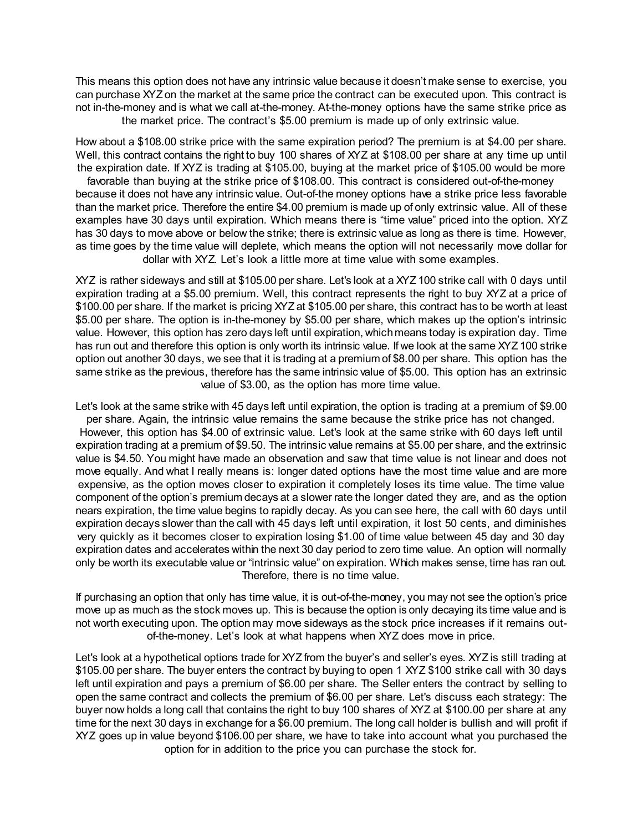This means this option does not have any intrinsic value because it doesn't make sense to exercise, you can purchase XYZ on the market at the same price the contract can be executed upon. This contract is not in-the-money and is what we call at-the-money. At-the-money options have the same strike price as the market price. The contract's \$5.00 premium is made up of only extrinsic value.

How about a \$108.00 strike price with the same expiration period? The premium is at \$4.00 per share. Well, this contract contains the right to buy 100 shares of XYZ at \$108.00 per share at any time up until the expiration date. If XYZ is trading at \$105.00, buying at the market price of \$105.00 would be more

favorable than buying at the strike price of \$108.00. This contract is considered out-of-the-money because it does not have any intrinsic value. Out-of-the money options have a strike price less favorable than the market price. Therefore the entire \$4.00 premium is made up of only extrinsic value. All of these examples have 30 days until expiration. Which means there is "time value" priced into the option. XYZ has 30 days to move above or below the strike; there is extrinsic value as long as there is time. However, as time goes by the time value will deplete, which means the option will not necessarily move dollar for dollar with XYZ. Let's look a little more at time value with some examples.

XYZ is rather sideways and still at \$105.00 per share. Let's look at a XYZ 100 strike call with 0 days until expiration trading at a \$5.00 premium. Well, this contract represents the right to buy XYZ at a price of \$100.00 per share. If the market is pricing XYZ at \$105.00 per share, this contract has to be worth at least \$5.00 per share. The option is in-the-money by \$5.00 per share, which makes up the option's intrinsic value. However, this option has zero days left until expiration, which means today is expiration day. Time has run out and therefore this option is only worth its intrinsic value. If we look at the same XYZ 100 strike option out another 30 days, we see that it is trading at a premium of \$8.00 per share. This option has the same strike as the previous, therefore has the same intrinsic value of \$5.00. This option has an extrinsic value of \$3.00, as the option has more time value.

Let's look at the same strike with 45 days left until expiration, the option is trading at a premium of \$9.00 per share. Again, the intrinsic value remains the same because the strike price has not changed. However, this option has \$4.00 of extrinsic value. Let's look at the same strike with 60 days left until expiration trading at a premium of \$9.50. The intrinsic value remains at \$5.00 per share, and the extrinsic value is \$4.50. You might have made an observation and saw that time value is not linear and does not move equally. And what I really means is: longer dated options have the most time value and are more expensive, as the option moves closer to expiration it completely loses its time value. The time value component of the option's premium decays at a slower rate the longer dated they are, and as the option nears expiration, the time value begins to rapidly decay. As you can see here, the call with 60 days until expiration decays slower than the call with 45 days left until expiration, it lost 50 cents, and diminishes very quickly as it becomes closer to expiration losing \$1.00 of time value between 45 day and 30 day expiration dates and accelerates within the next 30 day period to zero time value. An option will normally only be worth its executable value or "intrinsic value" on expiration. Which makes sense, time has ran out. Therefore, there is no time value.

If purchasing an option that only has time value, it is out-of-the-money, you may not see the option's price move up as much as the stock moves up. This is because the option is only decaying its time value and is not worth executing upon. The option may move sideways as the stock price increases if it remains outof-the-money. Let's look at what happens when XYZ does move in price.

Let's look at a hypothetical options trade for XYZ from the buyer's and seller's eyes. XYZ is still trading at \$105.00 per share. The buyer enters the contract by buying to open 1 XYZ \$100 strike call with 30 days left until expiration and pays a premium of \$6.00 per share. The Seller enters the contract by selling to open the same contract and collects the premium of \$6.00 per share. Let's discuss each strategy: The buyer now holds a long call that contains the right to buy 100 shares of XYZ at \$100.00 per share at any time for the next 30 days in exchange for a \$6.00 premium. The long call holder is bullish and will profit if XYZ goes up in value beyond \$106.00 per share, we have to take into account what you purchased the option for in addition to the price you can purchase the stock for.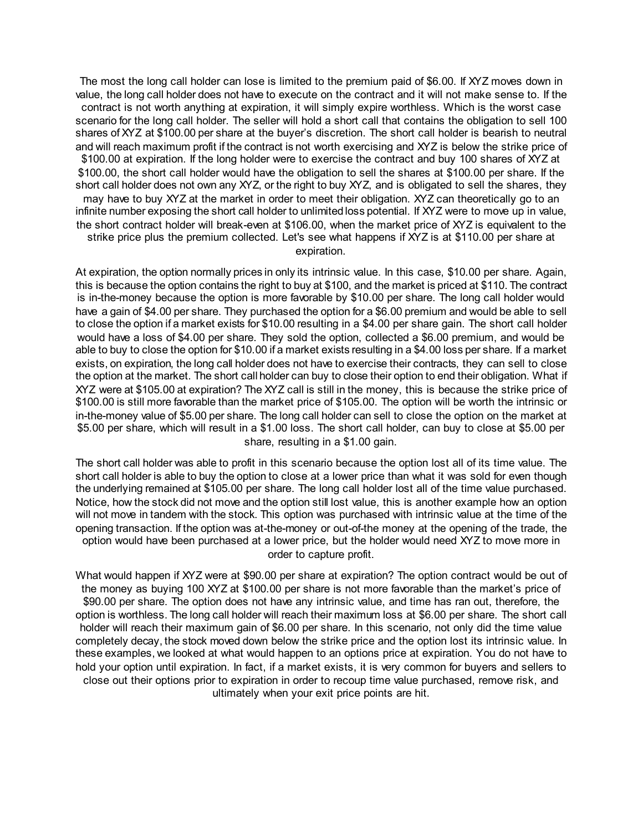The most the long call holder can lose is limited to the premium paid of \$6.00. If XYZ moves down in value, the long call holder does not have to execute on the contract and it will not make sense to. If the contract is not worth anything at expiration, it will simply expire worthless. Which is the worst case scenario for the long call holder. The seller will hold a short call that contains the obligation to sell 100 shares of XYZ at \$100.00 per share at the buyer's discretion. The short call holder is bearish to neutral and will reach maximum profit if the contract is not worth exercising and XYZ is below the strike price of \$100.00 at expiration. If the long holder were to exercise the contract and buy 100 shares of XYZ at \$100.00, the short call holder would have the obligation to sell the shares at \$100.00 per share. If the short call holder does not own any XYZ, or the right to buy XYZ, and is obligated to sell the shares, they may have to buy XYZ at the market in order to meet their obligation. XYZ can theoretically go to an infinite number exposing the short call holder to unlimited loss potential. If XYZ were to move up in value, the short contract holder will break-even at \$106.00, when the market price of XYZ is equivalent to the strike price plus the premium collected. Let's see what happens if XYZ is at \$110.00 per share at expiration.

At expiration, the option normally prices in only its intrinsic value. In this case, \$10.00 per share. Again, this is because the option contains the right to buy at \$100, and the market is priced at \$110. The contract is in-the-money because the option is more favorable by \$10.00 per share. The long call holder would have a gain of \$4.00 per share. They purchased the option for a \$6.00 premium and would be able to sell to close the option if a market exists for \$10.00 resulting in a \$4.00 per share gain. The short call holder would have a loss of \$4.00 per share. They sold the option, collected a \$6.00 premium, and would be able to buy to close the option for \$10.00 if a market exists resulting in a \$4.00 loss per share. If a market exists, on expiration, the long call holder does not have to exercise their contracts, they can sell to close the option at the market. The short call holder can buy to close their option to end their obligation. What if XYZ were at \$105.00 at expiration? The XYZ call is still in the money, this is because the strike price of \$100.00 is still more favorable than the market price of \$105.00. The option will be worth the intrinsic or in-the-money value of \$5.00 per share. The long call holder can sell to close the option on the market at \$5.00 per share, which will result in a \$1.00 loss. The short call holder, can buy to close at \$5.00 per share, resulting in a \$1.00 gain.

The short call holder was able to profit in this scenario because the option lost all of its time value. The short call holder is able to buy the option to close at a lower price than what it was sold for even though the underlying remained at \$105.00 per share. The long call holder lost all of the time value purchased. Notice, how the stock did not move and the option still lost value, this is another example how an option will not move in tandem with the stock. This option was purchased with intrinsic value at the time of the opening transaction. If the option was at-the-money or out-of-the money at the opening of the trade, the option would have been purchased at a lower price, but the holder would need XYZ to move more in order to capture profit.

What would happen if XYZ were at \$90.00 per share at expiration? The option contract would be out of the money as buying 100 XYZ at \$100.00 per share is not more favorable than the market's price of \$90.00 per share. The option does not have any intrinsic value, and time has ran out, therefore, the option is worthless. The long call holder will reach their maximum loss at \$6.00 per share. The short call holder will reach their maximum gain of \$6.00 per share. In this scenario, not only did the time value completely decay, the stock moved down below the strike price and the option lost its intrinsic value. In these examples, we looked at what would happen to an options price at expiration. You do not have to hold your option until expiration. In fact, if a market exists, it is very common for buyers and sellers to close out their options prior to expiration in order to recoup time value purchased, remove risk, and ultimately when your exit price points are hit.